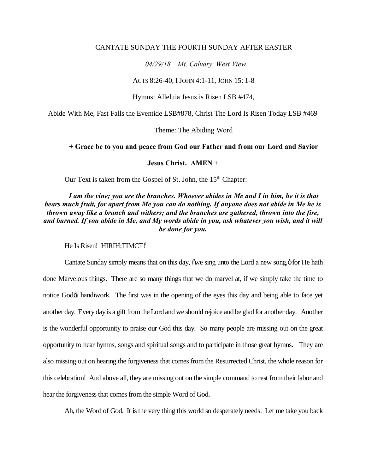#### CANTATE SUNDAY THE FOURTH SUNDAY AFTER EASTER

### *04/29/18 Mt. Calvary, West View*

#### ACTS 8:26-40, I JOHN 4:1-11, JOHN 15: 1-8

Hymns: Alleluia Jesus is Risen LSB #474,

Abide With Me, Fast Falls the Eventide LSB#878, Christ The Lord Is Risen Today LSB #469

#### Theme: The Abiding Word

## **+ Grace be to you and peace from God our Father and from our Lord and Savior**

#### **Jesus Christ. AMEN** +

Our Text is taken from the Gospel of St. John, the  $15<sup>th</sup>$  Chapter:

## *I am the vine; you are the branches. Whoever abides in Me and I in him, he it is that bears much fruit, for apart from Me you can do nothing. If anyone does not abide in Me he is thrown away like a branch and withers; and the branches are gathered, thrown into the fire, and burned. If you abide in Me, and My words abide in you, ask whatever you wish, and it will be done for you.*

He Is Risen! HIRIH; TIMCT!

Cantate Sunday simply means that on this day, one sing unto the Lord a new song,  $\ddot{o}$  for He hath done Marvelous things. There are so many things that we do marvel at, if we simply take the time to notice God $\alpha$  handiwork. The first was in the opening of the eyes this day and being able to face yet another day. Every day is a gift from the Lord and we should rejoice and be glad for another day. Another is the wonderful opportunity to praise our God this day. So many people are missing out on the great opportunity to hear hymns, songs and spiritual songs and to participate in those great hymns. They are also missing out on hearing the forgiveness that comes from the Resurrected Christ, the whole reason for this celebration! And above all, they are missing out on the simple command to rest from their labor and hear the forgiveness that comes from the simple Word of God.

Ah, the Word of God. It is the very thing this world so desperately needs. Let me take you back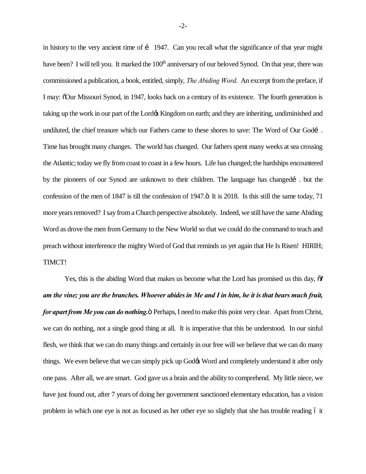in history to the very ancient time of i 1947. Can you recall what the significance of that year might have been? I will tell you. It marked the 100<sup>th</sup> anniversary of our beloved Synod. On that year, there was commissioned a publication, a book, entitled, simply, *The Abiding Word*. An excerpt from the preface, if I may: "Our Missouri Synod, in 1947, looks back on a century of its existence. The fourth generation is taking up the work in our part of the Lord is Kingdom on earth; and they are inheriting, undiminished and undiluted, the chief treasure which our Fathers came to these shores to save: The Word of Our Godí. Time has brought many changes. The world has changed. Our fathers spent many weeks at sea crossing the Atlantic; today we fly from coast to coast in a few hours. Life has changed; the hardships encountered by the pioneers of our Synod are unknown to their children. The language has changed i. but the confession of the men of 1847 is till the confession of 1947. $\ddot{o}$  It is 2018. Is this still the same today, 71 more years removed? I say from a Church perspective absolutely. Indeed, we still have the same Abiding Word as drove the men from Germany to the New World so that we could do the command to teach and preach without interference the mighty Word of God that reminds us yet again that He Is Risen! HIRIH; TIMCT!

Yes, this is the abiding Word that makes us become what the Lord has promised us this day,  $\delta I$ *am the vine; you are the branches. Whoever abides in Me and I in him, he it is that bears much fruit, for apart from Me you can do nothing.*  $\ddot{o}$  Perhaps, I need to make this point very clear. Apart from Christ, we can do nothing, not a single good thing at all. It is imperative that this be understood. In our sinful flesh, we think that we can do many things and certainly in our free will we believe that we can do many things. We even believe that we can simply pick up God $\alpha$  Word and completely understand it after only one pass. After all, we are smart. God gave us a brain and the ability to comprehend. My little niece, we have just found out, after 7 years of doing her government sanctioned elementary education, has a vision problem in which one eye is not as focused as her other eye so slightly that she has trouble reading 6 it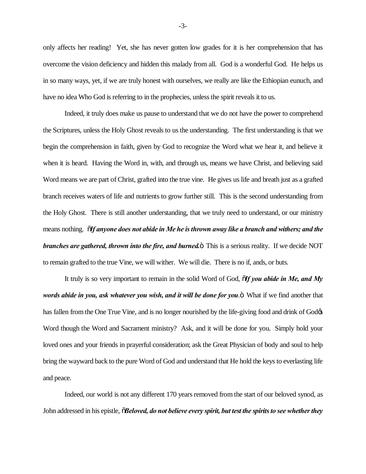only affects her reading! Yet, she has never gotten low grades for it is her comprehension that has overcome the vision deficiency and hidden this malady from all. God is a wonderful God. He helps us in so many ways, yet, if we are truly honest with ourselves, we really are like the Ethiopian eunuch, and have no idea Who God is referring to in the prophecies, unless the spirit reveals it to us.

Indeed, it truly does make us pause to understand that we do not have the power to comprehend the Scriptures, unless the Holy Ghost reveals to us the understanding. The first understanding is that we begin the comprehension in faith, given by God to recognize the Word what we hear it, and believe it when it is heard. Having the Word in, with, and through us, means we have Christ, and believing said Word means we are part of Christ, grafted into the true vine. He gives us life and breath just as a grafted branch receives waters of life and nutrients to grow further still. This is the second understanding from the Holy Ghost. There is still another understanding, that we truly need to understand, or our ministry means nothing. "*If anyone does not abide in Me he is thrown away like a branch and withers; and the branches are gathered, thrown into the fire, and burned.* This is a serious reality. If we decide NOT to remain grafted to the true Vine, we will wither. We will die. There is no if, ands, or buts.

It truly is so very important to remain in the solid Word of God, "*If you abide in Me, and My words abide in you, ask whatever you wish, and it will be done for you*. What if we find another that has fallen from the One True Vine, and is no longer nourished by the life-giving food and drink of God $\alpha$ Word though the Word and Sacrament ministry? Ask, and it will be done for you. Simply hold your loved ones and your friends in prayerful consideration; ask the Great Physician of body and soul to help bring the wayward back to the pure Word of God and understand that He hold the keys to everlasting life and peace.

Indeed, our world is not any different 170 years removed from the start of our beloved synod, as John addressed in his epistle,  $\ddot{\text{o}}$ *Beloved, do not believe every spirit, but test the spirits to see whether they* 

-3-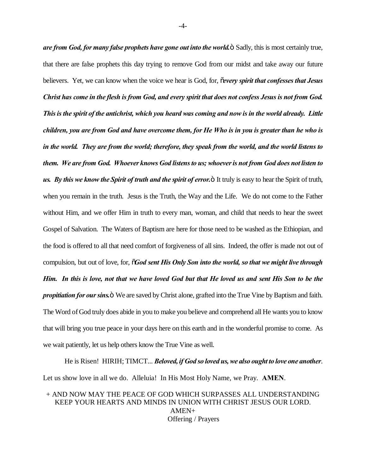*are from God, for many false prophets have gone out into the world.* Sadly, this is most certainly true, that there are false prophets this day trying to remove God from our midst and take away our future believers. Yet, we can know when the voice we hear is God, for, "*every spirit that confesses that Jesus Christ has come in the flesh is from God, and every spirit that does not confess Jesus is not from God. This is the spirit of the antichrist, which you heard was coming and now is in the world already. Little children, you are from God and have overcome them, for He Who is in you is greater than he who is in the world. They are from the world; therefore, they speak from the world, and the world listens to them. We are from God. Whoever knows God listens to us; whoever is not from God does not listen to us. By this we know the Spirit of truth and the spirit of error.*" It truly is easy to hear the Spirit of truth, when you remain in the truth. Jesus is the Truth, the Way and the Life. We do not come to the Father without Him, and we offer Him in truth to every man, woman, and child that needs to hear the sweet Gospel of Salvation. The Waters of Baptism are here for those need to be washed as the Ethiopian, and the food is offered to all that need comfort of forgiveness of all sins. Indeed, the offer is made not out of compulsion, but out of love, for, "*God sent His Only Son into the world, so that we might live through Him. In this is love, not that we have loved God but that He loved us and sent His Son to be the propitiation for our sins.*  $\ddot{o}$  We are saved by Christ alone, grafted into the True Vine by Baptism and faith. The Word of God truly does abide in you to make you believe and comprehend all He wants you to know that will bring you true peace in your days here on this earth and in the wonderful promise to come. As we wait patiently, let us help others know the True Vine as well.

He is Risen! HIRIH; TIMCT... *Beloved, if God so loved us, we also ought to love one another*. Let us show love in all we do. Alleluia! In His Most Holy Name, we Pray. **AMEN**.

+ AND NOW MAY THE PEACE OF GOD WHICH SURPASSES ALL UNDERSTANDING KEEP YOUR HEARTS AND MINDS IN UNION WITH CHRIST JESUS OUR LORD. AMEN+ Offering / Prayers